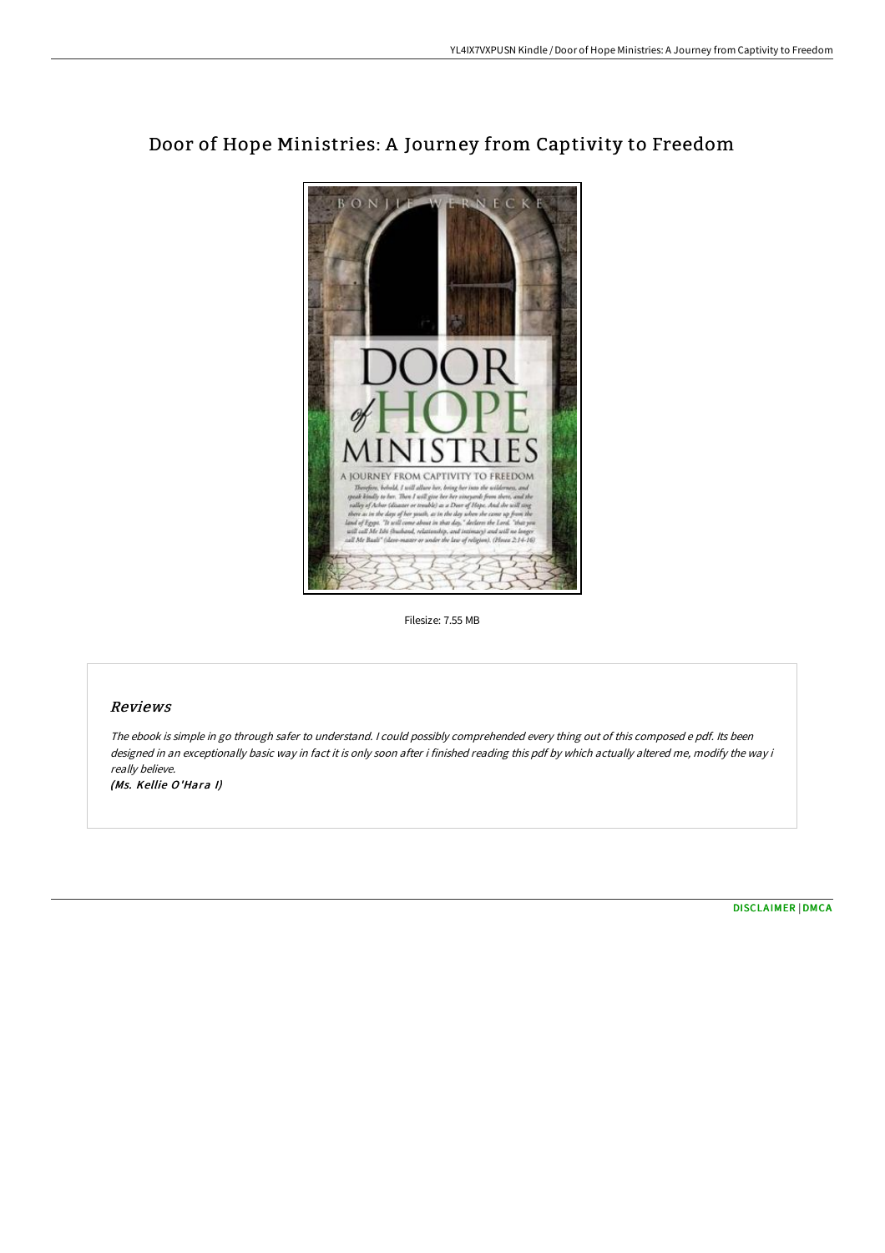

# Door of Hope Ministries: A Journey from Captivity to Freedom

Filesize: 7.55 MB

# Reviews

The ebook is simple in go through safer to understand. <sup>I</sup> could possibly comprehended every thing out of this composed <sup>e</sup> pdf. Its been designed in an exceptionally basic way in fact it is only soon after i finished reading this pdf by which actually altered me, modify the way i really believe.

(Ms. Kellie O'Hara I)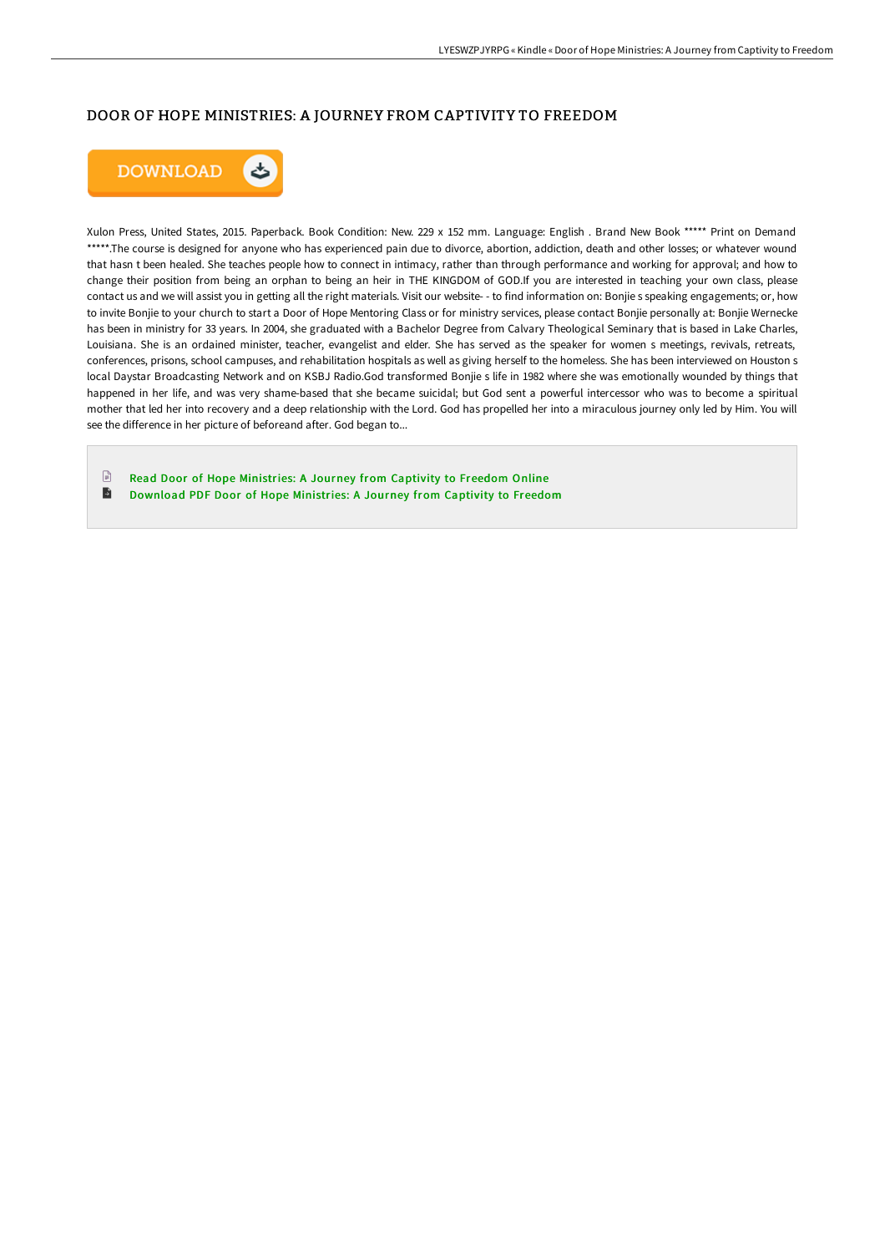## DOOR OF HOPE MINISTRIES: A JOURNEY FROM CAPTIVITY TO FREEDOM



Xulon Press, United States, 2015. Paperback. Book Condition: New. 229 x 152 mm. Language: English . Brand New Book \*\*\*\*\* Print on Demand \*\*\*\*\*.The course is designed for anyone who has experienced pain due to divorce, abortion, addiction, death and other losses; or whatever wound that hasn t been healed. She teaches people how to connect in intimacy, rather than through performance and working for approval; and how to change their position from being an orphan to being an heir in THE KINGDOM of GOD.If you are interested in teaching your own class, please contact us and we will assist you in getting all the right materials. Visit our website- - to find information on: Bonjie s speaking engagements; or, how to invite Bonjie to your church to start a Door of Hope Mentoring Class or for ministry services, please contact Bonjie personally at: Bonjie Wernecke has been in ministry for 33 years. In 2004, she graduated with a Bachelor Degree from Calvary Theological Seminary that is based in Lake Charles, Louisiana. She is an ordained minister, teacher, evangelist and elder. She has served as the speaker for women s meetings, revivals, retreats, conferences, prisons, school campuses, and rehabilitation hospitals as well as giving herself to the homeless. She has been interviewed on Houston s local Daystar Broadcasting Network and on KSBJ Radio.God transformed Bonjie s life in 1982 where she was emotionally wounded by things that happened in her life, and was very shame-based that she became suicidal; but God sent a powerful intercessor who was to become a spiritual mother that led her into recovery and a deep relationship with the Lord. God has propelled her into a miraculous journey only led by Him. You will see the difference in her picture of beforeand after. God began to...

 $\begin{tabular}{|c|c|} \hline \quad \quad & \quad \quad & \quad \quad \\ \hline \end{tabular}$ Read Door of Hope [Ministries:](http://albedo.media/door-of-hope-ministries-a-journey-from-captivity.html) A Journey from Captivity to Freedom Online  $\blacksquare$ Download PDF Door of Hope [Ministries:](http://albedo.media/door-of-hope-ministries-a-journey-from-captivity.html) A Journey from Captivity to Freedom